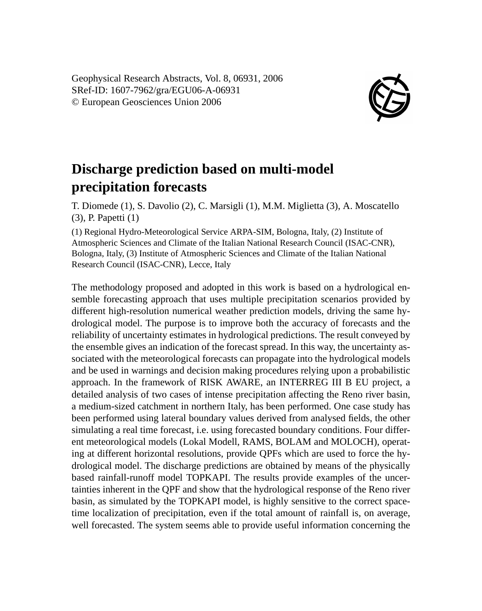Geophysical Research Abstracts, Vol. 8, 06931, 2006 SRef-ID: 1607-7962/gra/EGU06-A-06931 © European Geosciences Union 2006



## **Discharge prediction based on multi-model precipitation forecasts**

T. Diomede (1), S. Davolio (2), C. Marsigli (1), M.M. Miglietta (3), A. Moscatello (3), P. Papetti (1)

(1) Regional Hydro-Meteorological Service ARPA-SIM, Bologna, Italy, (2) Institute of Atmospheric Sciences and Climate of the Italian National Research Council (ISAC-CNR), Bologna, Italy, (3) Institute of Atmospheric Sciences and Climate of the Italian National Research Council (ISAC-CNR), Lecce, Italy

The methodology proposed and adopted in this work is based on a hydrological ensemble forecasting approach that uses multiple precipitation scenarios provided by different high-resolution numerical weather prediction models, driving the same hydrological model. The purpose is to improve both the accuracy of forecasts and the reliability of uncertainty estimates in hydrological predictions. The result conveyed by the ensemble gives an indication of the forecast spread. In this way, the uncertainty associated with the meteorological forecasts can propagate into the hydrological models and be used in warnings and decision making procedures relying upon a probabilistic approach. In the framework of RISK AWARE, an INTERREG III B EU project, a detailed analysis of two cases of intense precipitation affecting the Reno river basin, a medium-sized catchment in northern Italy, has been performed. One case study has been performed using lateral boundary values derived from analysed fields, the other simulating a real time forecast, i.e. using forecasted boundary conditions. Four different meteorological models (Lokal Modell, RAMS, BOLAM and MOLOCH), operating at different horizontal resolutions, provide QPFs which are used to force the hydrological model. The discharge predictions are obtained by means of the physically based rainfall-runoff model TOPKAPI. The results provide examples of the uncertainties inherent in the QPF and show that the hydrological response of the Reno river basin, as simulated by the TOPKAPI model, is highly sensitive to the correct spacetime localization of precipitation, even if the total amount of rainfall is, on average, well forecasted. The system seems able to provide useful information concerning the